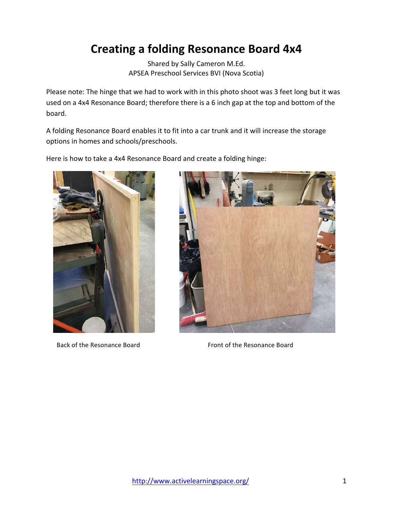## **Creating a folding Resonance Board 4x4**

Shared by Sally Cameron M.Ed. APSEA Preschool Services BVI (Nova Scotia)

Please note: The hinge that we had to work with in this photo shoot was 3 feet long but it was used on a 4x4 Resonance Board; therefore there is a 6 inch gap at the top and bottom of the board.

A folding Resonance Board enables it to fit into a car trunk and it will increase the storage options in homes and schools/preschools.

Here is how to take a 4x4 Resonance Board and create a folding hinge:





Back of the Resonance Board **Front** of the Resonance Board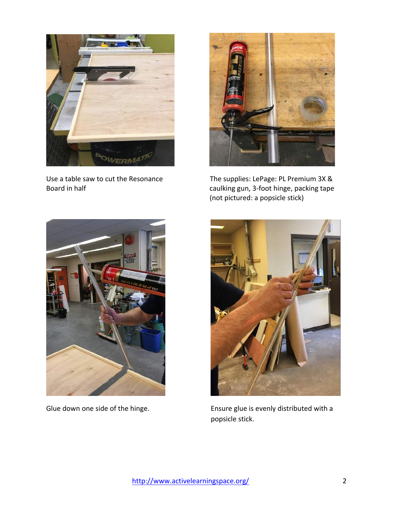



Use a table saw to cut the Resonance The supplies: LePage: PL Premium 3X & Board in half *National Community Caulking gun, 3-foot hinge, packing tape caulking gun, 3-foot hinge, packing tape* (not pictured: a popsicle stick)





Glue down one side of the hinge. The summary ensure glue is evenly distributed with a popsicle stick.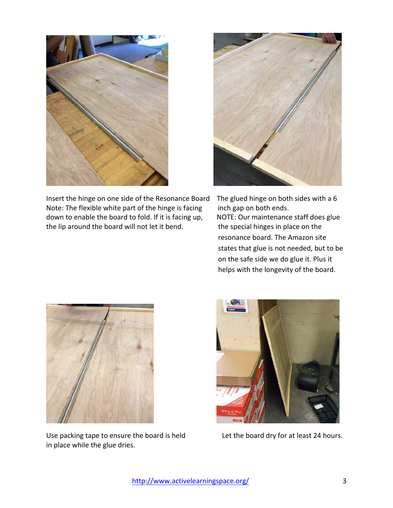

Insert the hinge on one side of the Resonance Board The glued hinge on both sides with a 6 Note: The flexible white part of the hinge is facing  $\quad$  inch gap on both ends. down to enable the board to fold. If it is facing up, NOTE: Our maintenance staff does glue the lip around the board will not let it bend. The special hinges in place on the



resonance board. The Amazon site states that glue is not needed, but to be on the safe side we do glue it. Plus it helps with the longevity of the board.



Use packing tape to ensure the board is held Let the board dry for at least 24 hours. in place while the glue dries.